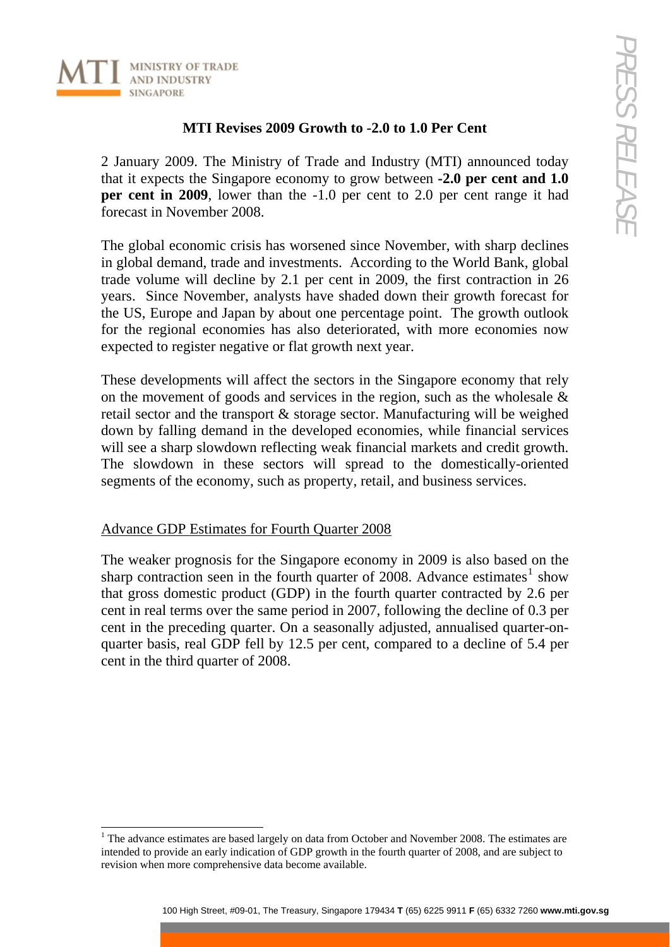

## **MTI Revises 2009 Growth to -2.0 to 1.0 Per Cent**

2 January 2009. The Ministry of Trade and Industry (MTI) announced today that it expects the Singapore economy to grow between **-2.0 per cent and 1.0 per cent in 2009**, lower than the -1.0 per cent to 2.0 per cent range it had forecast in November 2008.

The global economic crisis has worsened since November, with sharp declines in global demand, trade and investments. According to the World Bank, global trade volume will decline by 2.1 per cent in 2009, the first contraction in 26 years. Since November, analysts have shaded down their growth forecast for the US, Europe and Japan by about one percentage point. The growth outlook for the regional economies has also deteriorated, with more economies now expected to register negative or flat growth next year.

These developments will affect the sectors in the Singapore economy that rely on the movement of goods and services in the region, such as the wholesale & retail sector and the transport & storage sector. Manufacturing will be weighed down by falling demand in the developed economies, while financial services will see a sharp slowdown reflecting weak financial markets and credit growth. The slowdown in these sectors will spread to the domestically-oriented segments of the economy, such as property, retail, and business services.

## Advance GDP Estimates for Fourth Quarter 2008

The weaker prognosis for the Singapore economy in 2009 is also based on the sharp contraction seen in the fourth quarter of 2008. Advance estimates<sup>[1](#page-0-0)</sup> show that gross domestic product (GDP) in the fourth quarter contracted by 2.6 per cent in real terms over the same period in 2007, following the decline of 0.3 per cent in the preceding quarter. On a seasonally adjusted, annualised quarter-onquarter basis, real GDP fell by 12.5 per cent, compared to a decline of 5.4 per cent in the third quarter of 2008.

<span id="page-0-0"></span>l  $1$ <sup>1</sup> The advance estimates are based largely on data from October and November 2008. The estimates are intended to provide an early indication of GDP growth in the fourth quarter of 2008, and are subject to revision when more comprehensive data become available.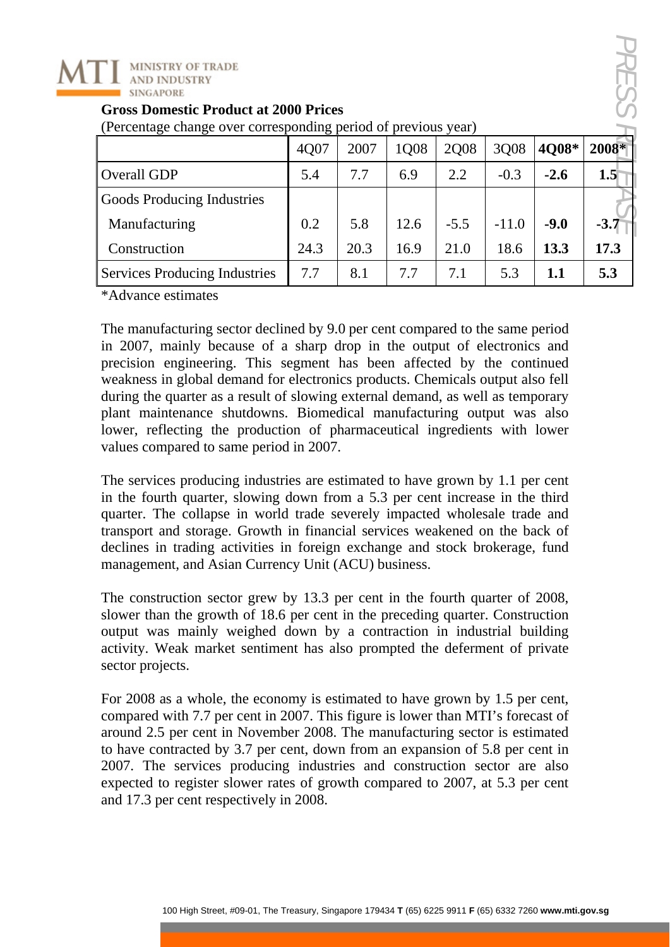

| (Percentage change over corresponding period of previous year) |      |      |      |             |         |        |        |
|----------------------------------------------------------------|------|------|------|-------------|---------|--------|--------|
|                                                                | 4Q07 | 2007 | 1008 | <b>2008</b> | 3Q08    | 4Q08*  | 2008*  |
| <b>Overall GDP</b>                                             | 5.4  | 7.7  | 6.9  | 2.2         | $-0.3$  | $-2.6$ | 1.5    |
| <b>Goods Producing Industries</b>                              |      |      |      |             |         |        |        |
| Manufacturing                                                  | 0.2  | 5.8  | 12.6 | $-5.5$      | $-11.0$ | $-9.0$ | $-3.7$ |
| Construction                                                   | 24.3 | 20.3 | 16.9 | 21.0        | 18.6    | 13.3   | 17.3   |
| <b>Services Producing Industries</b>                           | 7.7  | 8.1  | 7.7  | 7.1         | 5.3     | 1.1    | 5.3    |

**Gross Domestic Product at 2000 Prices** 

(Percentage change over corresponding period of previous year)

\*Advance estimates

The manufacturing sector declined by 9.0 per cent compared to the same period in 2007, mainly because of a sharp drop in the output of electronics and precision engineering. This segment has been affected by the continued weakness in global demand for electronics products. Chemicals output also fell during the quarter as a result of slowing external demand, as well as temporary plant maintenance shutdowns. Biomedical manufacturing output was also lower, reflecting the production of pharmaceutical ingredients with lower values compared to same period in 2007.

The services producing industries are estimated to have grown by 1.1 per cent in the fourth quarter, slowing down from a 5.3 per cent increase in the third quarter. The collapse in world trade severely impacted wholesale trade and transport and storage. Growth in financial services weakened on the back of declines in trading activities in foreign exchange and stock brokerage, fund management, and Asian Currency Unit (ACU) business.

The construction sector grew by 13.3 per cent in the fourth quarter of 2008, slower than the growth of 18.6 per cent in the preceding quarter. Construction output was mainly weighed down by a contraction in industrial building activity. Weak market sentiment has also prompted the deferment of private sector projects.

For 2008 as a whole, the economy is estimated to have grown by 1.5 per cent, compared with 7.7 per cent in 2007. This figure is lower than MTI's forecast of around 2.5 per cent in November 2008. The manufacturing sector is estimated to have contracted by 3.7 per cent, down from an expansion of 5.8 per cent in 2007. The services producing industries and construction sector are also expected to register slower rates of growth compared to 2007, at 5.3 per cent and 17.3 per cent respectively in 2008.